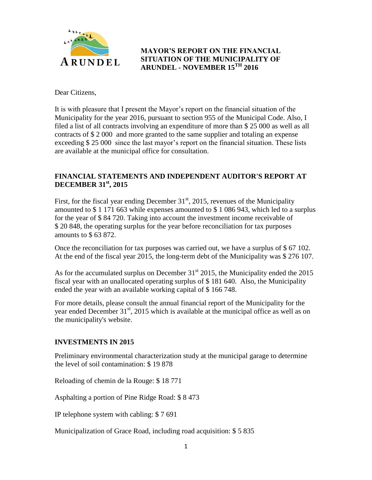

# **MAYOR'S REPORT ON THE FINANCIAL SITUATION OF THE MUNICIPALITY OF ARUNDEL - NOVEMBER 15TH 2016**

Dear Citizens,

It is with pleasure that I present the Mayor's report on the financial situation of the Municipality for the year 2016, pursuant to section 955 of the Municipal Code. Also, I filed a list of all contracts involving an expenditure of more than \$ 25 000 as well as all contracts of \$ 2 000 and more granted to the same supplier and totaling an expense exceeding \$ 25 000 since the last mayor's report on the financial situation. These lists are available at the municipal office for consultation.

# **FINANCIAL STATEMENTS AND INDEPENDENT AUDITOR'S REPORT AT DECEMBER 31st, 2015**

First, for the fiscal year ending December  $31<sup>st</sup>$ , 2015, revenues of the Municipality amounted to \$ 1 171 663 while expenses amounted to \$ 1 086 943, which led to a surplus for the year of \$ 84 720. Taking into account the investment income receivable of \$ 20 848, the operating surplus for the year before reconciliation for tax purposes amounts to \$ 63 872.

Once the reconciliation for tax purposes was carried out, we have a surplus of  $$ 67 102$ . At the end of the fiscal year 2015, the long-term debt of the Municipality was \$ 276 107.

As for the accumulated surplus on December  $31<sup>st</sup>$  2015, the Municipality ended the 2015 fiscal year with an unallocated operating surplus of \$ 181 640. Also, the Municipality ended the year with an available working capital of \$ 166 748.

For more details, please consult the annual financial report of the Municipality for the year ended December  $31<sup>st</sup>$ , 2015 which is available at the municipal office as well as on the municipality's website.

## **INVESTMENTS IN 2015**

Preliminary environmental characterization study at the municipal garage to determine the level of soil contamination: \$ 19 878

Reloading of chemin de la Rouge: \$ 18 771

Asphalting a portion of Pine Ridge Road: \$ 8 473

IP telephone system with cabling: \$ 7 691

Municipalization of Grace Road, including road acquisition: \$ 5 835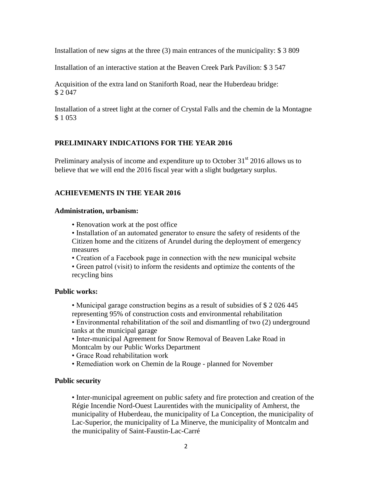Installation of new signs at the three (3) main entrances of the municipality: \$ 3 809

Installation of an interactive station at the Beaven Creek Park Pavilion: \$ 3 547

Acquisition of the extra land on Staniforth Road, near the Huberdeau bridge: \$ 2 047

Installation of a street light at the corner of Crystal Falls and the chemin de la Montagne \$ 1 053

### **PRELIMINARY INDICATIONS FOR THE YEAR 2016**

Preliminary analysis of income and expenditure up to October  $31<sup>st</sup>$  2016 allows us to believe that we will end the 2016 fiscal year with a slight budgetary surplus.

## **ACHIEVEMENTS IN THE YEAR 2016**

#### **Administration, urbanism:**

• Renovation work at the post office

• Installation of an automated generator to ensure the safety of residents of the Citizen home and the citizens of Arundel during the deployment of emergency measures

• Creation of a Facebook page in connection with the new municipal website

• Green patrol (visit) to inform the residents and optimize the contents of the recycling bins

### **Public works:**

- Municipal garage construction begins as a result of subsidies of \$ 2 026 445 representing 95% of construction costs and environmental rehabilitation
- Environmental rehabilitation of the soil and dismantling of two (2) underground tanks at the municipal garage
- Inter-municipal Agreement for Snow Removal of Beaven Lake Road in Montcalm by our Public Works Department
- Grace Road rehabilitation work
- Remediation work on Chemin de la Rouge planned for November

### **Public security**

• Inter-municipal agreement on public safety and fire protection and creation of the Régie Incendie Nord-Ouest Laurentides with the municipality of Amherst, the municipality of Huberdeau, the municipality of La Conception, the municipality of Lac-Superior, the municipality of La Minerve, the municipality of Montcalm and the municipality of Saint-Faustin-Lac-Carré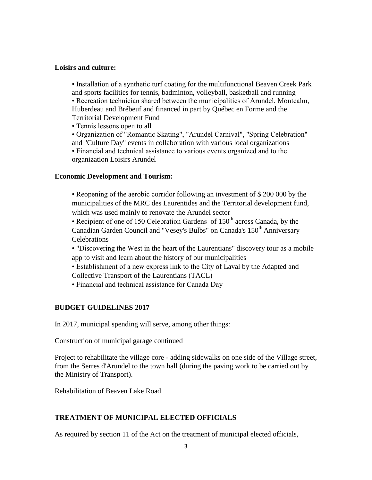#### **Loisirs and culture:**

• Installation of a synthetic turf coating for the multifunctional Beaven Creek Park and sports facilities for tennis, badminton, volleyball, basketball and running • Recreation technician shared between the municipalities of Arundel, Montcalm, Huberdeau and Brébeuf and financed in part by Québec en Forme and the Territorial Development Fund

• Tennis lessons open to all

• Organization of "Romantic Skating", "Arundel Carnival", "Spring Celebration" and "Culture Day" events in collaboration with various local organizations

• Financial and technical assistance to various events organized and to the organization Loisirs Arundel

#### **Economic Development and Tourism:**

• Reopening of the aerobic corridor following an investment of \$ 200 000 by the municipalities of the MRC des Laurentides and the Territorial development fund, which was used mainly to renovate the Arundel sector

• Recipient of one of 150 Celebration Gardens of  $150<sup>th</sup>$  across Canada, by the Canadian Garden Council and "Vesey's Bulbs" on Canada's 150<sup>th</sup> Anniversary **Celebrations** 

• "Discovering the West in the heart of the Laurentians" discovery tour as a mobile app to visit and learn about the history of our municipalities

• Establishment of a new express link to the City of Laval by the Adapted and Collective Transport of the Laurentians (TACL)

• Financial and technical assistance for Canada Day

### **BUDGET GUIDELINES 2017**

In 2017, municipal spending will serve, among other things:

Construction of municipal garage continued

Project to rehabilitate the village core - adding sidewalks on one side of the Village street, from the Serres d'Arundel to the town hall (during the paving work to be carried out by the Ministry of Transport).

Rehabilitation of Beaven Lake Road

### **TREATMENT OF MUNICIPAL ELECTED OFFICIALS**

As required by section 11 of the Act on the treatment of municipal elected officials,